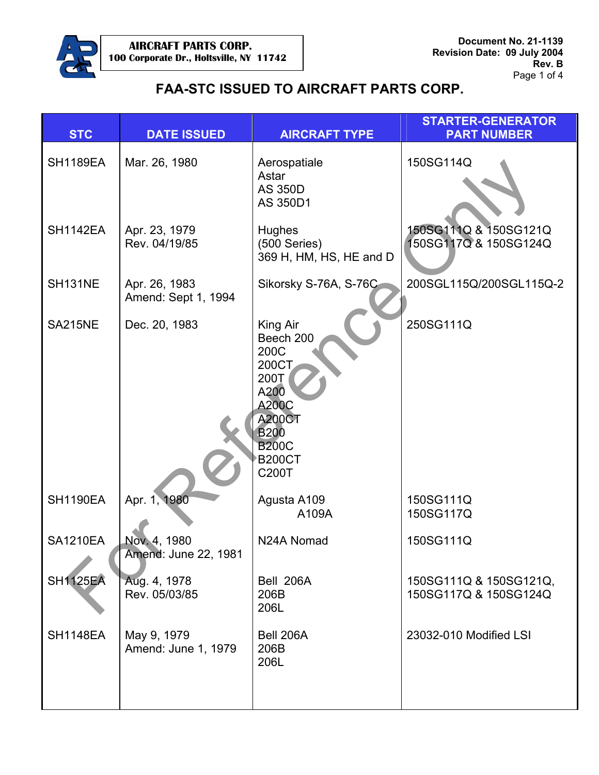

| <b>STC</b>      | <b>DATE ISSUED</b>                   | <b>AIRCRAFT TYPE</b>                                                                                                                             | <b>STARTER-GENERATOR</b><br><b>PART NUMBER</b>  |
|-----------------|--------------------------------------|--------------------------------------------------------------------------------------------------------------------------------------------------|-------------------------------------------------|
| <b>SH1189EA</b> | Mar. 26, 1980                        | Aerospatiale<br>Astar<br><b>AS 350D</b><br>AS 350D1                                                                                              | 150SG114Q                                       |
| <b>SH1142EA</b> | Apr. 23, 1979<br>Rev. 04/19/85       | <b>Hughes</b><br>(500 Series)<br>369 H, HM, HS, HE and D                                                                                         | 150SG111Q & 150SG121Q<br>50SG117Q & 150SG124Q   |
| <b>SH131NE</b>  | Apr. 26, 1983<br>Amend: Sept 1, 1994 | Sikorsky S-76A, S-76C                                                                                                                            | 200SGL115Q/200SGL115Q-2                         |
| <b>SA215NE</b>  | Dec. 20, 1983                        | King Air<br>Beech 200<br>200C<br>200CT<br>200T<br>A200<br><b>A200C</b><br><b>A200CT</b><br><b>B200</b><br><b>B200C</b><br><b>B200CT</b><br>C200T | 250SG111Q                                       |
| <b>SH1190EA</b> | Apr. 1, 1980                         | Agusta A109<br>A109A                                                                                                                             | 150SG111Q<br>150SG117Q                          |
| <b>SA1210EA</b> | Nov. 4, 1980<br>Amend: June 22, 1981 | N24A Nomad                                                                                                                                       | 150SG111Q                                       |
| <b>SH1125EA</b> | Aug. 4, 1978<br>Rev. 05/03/85        | Bell 206A<br>206B<br>206L                                                                                                                        | 150SG111Q & 150SG121Q,<br>150SG117Q & 150SG124Q |
| <b>SH1148EA</b> | May 9, 1979<br>Amend: June 1, 1979   | Bell 206A<br>206B<br>206L                                                                                                                        | 23032-010 Modified LSI                          |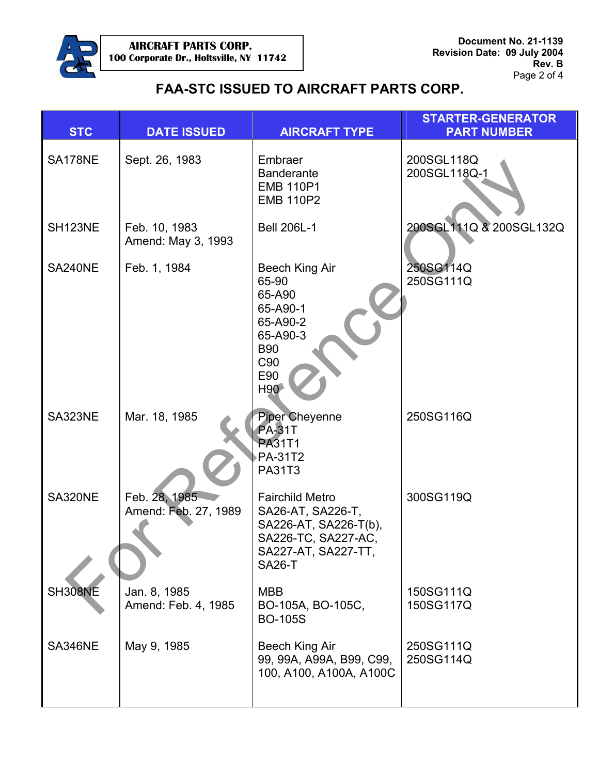

| <b>STC</b> | <b>DATE ISSUED</b>                    | <b>AIRCRAFT TYPE</b>                                                                                                                | <b>STARTER-GENERATOR</b><br><b>PART NUMBER</b> |
|------------|---------------------------------------|-------------------------------------------------------------------------------------------------------------------------------------|------------------------------------------------|
| SA178NE    | Sept. 26, 1983                        | Embraer<br><b>Banderante</b><br><b>EMB 110P1</b><br><b>EMB 110P2</b>                                                                | 200SGL118Q<br>200SGL118Q-1                     |
| SH123NE    | Feb. 10, 1983<br>Amend: May 3, 1993   | <b>Bell 206L-1</b>                                                                                                                  | 200SGL111Q & 200SGL132Q                        |
| SA240NE    | Feb. 1, 1984                          | Beech King Air<br>65-90<br>65-A90<br>65-A90-1<br>65-A90-2<br>65-A90-3<br><b>B90</b><br>C90<br>E90<br>H90                            | 250SG114Q<br>250SG111Q                         |
| SA323NE    | Mar. 18, 1985                         | <b>Piper Cheyenne</b><br><b>PA-31T</b><br><b>PA31T1</b><br><b>PA-31T2</b><br><b>PA31T3</b>                                          | 250SG116Q                                      |
| SA320NE    | Feb. 28, 1985<br>Amend: Feb. 27, 1989 | <b>Fairchild Metro</b><br>SA26-AT, SA226-T,<br>SA226-AT, SA226-T(b),<br>SA226-TC, SA227-AC,<br>SA227-AT, SA227-TT,<br><b>SA26-T</b> | 300SG119Q                                      |
| SH308NE    | Jan. 8, 1985<br>Amend: Feb. 4, 1985   | <b>MBB</b><br>BO-105A, BO-105C,<br><b>BO-105S</b>                                                                                   | 150SG111Q<br>150SG117Q                         |
| SA346NE    | May 9, 1985                           | Beech King Air<br>99, 99A, A99A, B99, C99,<br>100, A100, A100A, A100C                                                               | 250SG111Q<br>250SG114Q                         |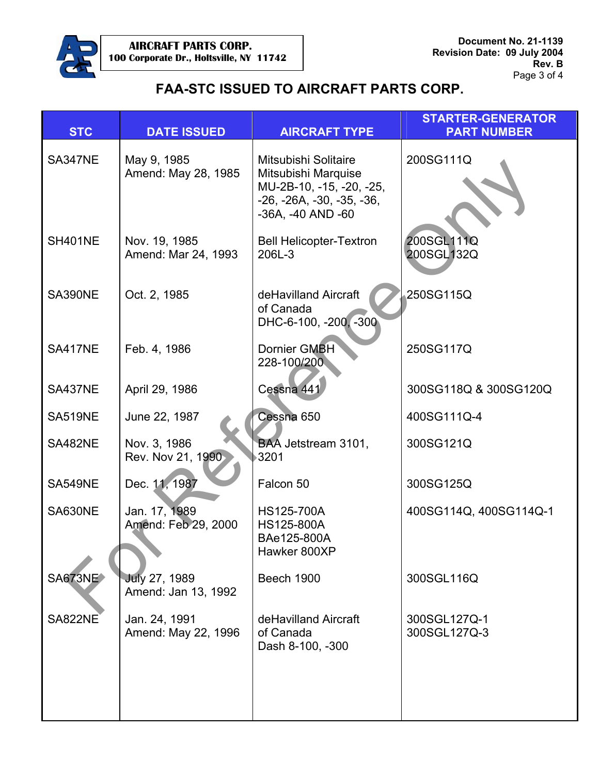

| <b>STC</b>     | <b>DATE ISSUED</b>                          | <b>AIRCRAFT TYPE</b>                                                                                                        | <b>STARTER-GENERATOR</b><br><b>PART NUMBER</b> |
|----------------|---------------------------------------------|-----------------------------------------------------------------------------------------------------------------------------|------------------------------------------------|
| SA347NE        | May 9, 1985<br>Amend: May 28, 1985          | Mitsubishi Solitaire<br>Mitsubishi Marquise<br>MU-2B-10, -15, -20, -25,<br>$-26, -26A, -30, -35, -36,$<br>-36A, -40 AND -60 | 200SG111Q                                      |
| <b>SH401NE</b> | Nov. 19, 1985<br>Amend: Mar 24, 1993        | <b>Bell Helicopter-Textron</b><br>206L-3                                                                                    | 200SGL111Q<br>200SGL132Q                       |
| SA390NE        | Oct. 2, 1985                                | deHavilland Aircraft<br>of Canada<br>DHC-6-100, -200, -300                                                                  | 250SG115Q                                      |
| <b>SA417NE</b> | Feb. 4, 1986                                | Dornier GMBH<br>228-100/200                                                                                                 | 250SG117Q                                      |
| SA437NE        | April 29, 1986                              | Cessna 441                                                                                                                  | 300SG118Q & 300SG120Q                          |
| <b>SA519NE</b> | June 22, 1987                               | Cessna 650                                                                                                                  | 400SG111Q-4                                    |
| SA482NE        | Nov. 3, 1986<br>Rev. Nov 21, 1990           | BAA Jetstream 3101,<br>3201                                                                                                 | 300SG121Q                                      |
| <b>SA549NE</b> | Dec. 11, 1987                               | Falcon 50                                                                                                                   | 300SG125Q                                      |
| SA630NE        | Jan. 17, 1989<br>Amend: Feb 29, 2000        | HS125-700A<br>HS125-800A<br>BAe125-800A<br>Hawker 800XP                                                                     | 400SG114Q, 400SG114Q-1                         |
| <b>SA673NE</b> | <b>July 27, 1989</b><br>Amend: Jan 13, 1992 | Beech 1900                                                                                                                  | 300SGL116Q                                     |
| <b>SA822NE</b> | Jan. 24, 1991<br>Amend: May 22, 1996        | deHavilland Aircraft<br>of Canada<br>Dash 8-100, -300                                                                       | 300SGL127Q-1<br>300SGL127Q-3                   |